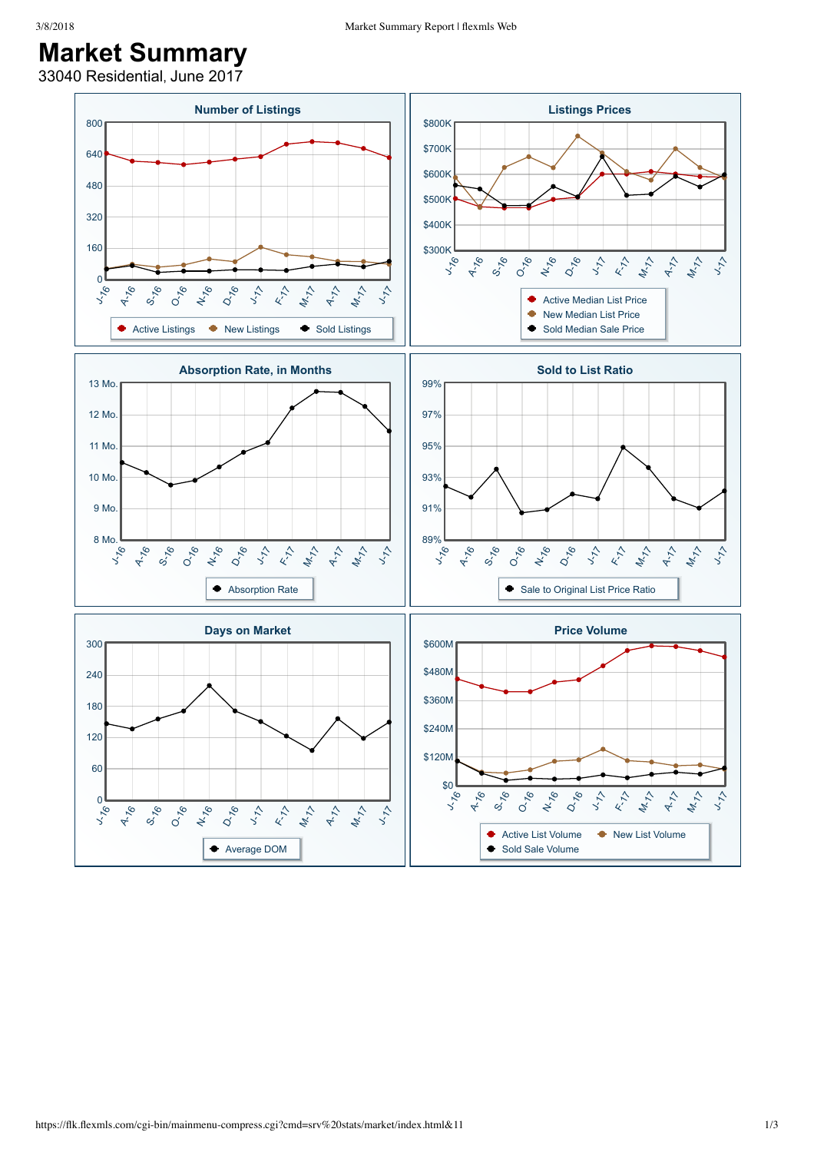## **Market Summary**

33040 Residential, June 2017

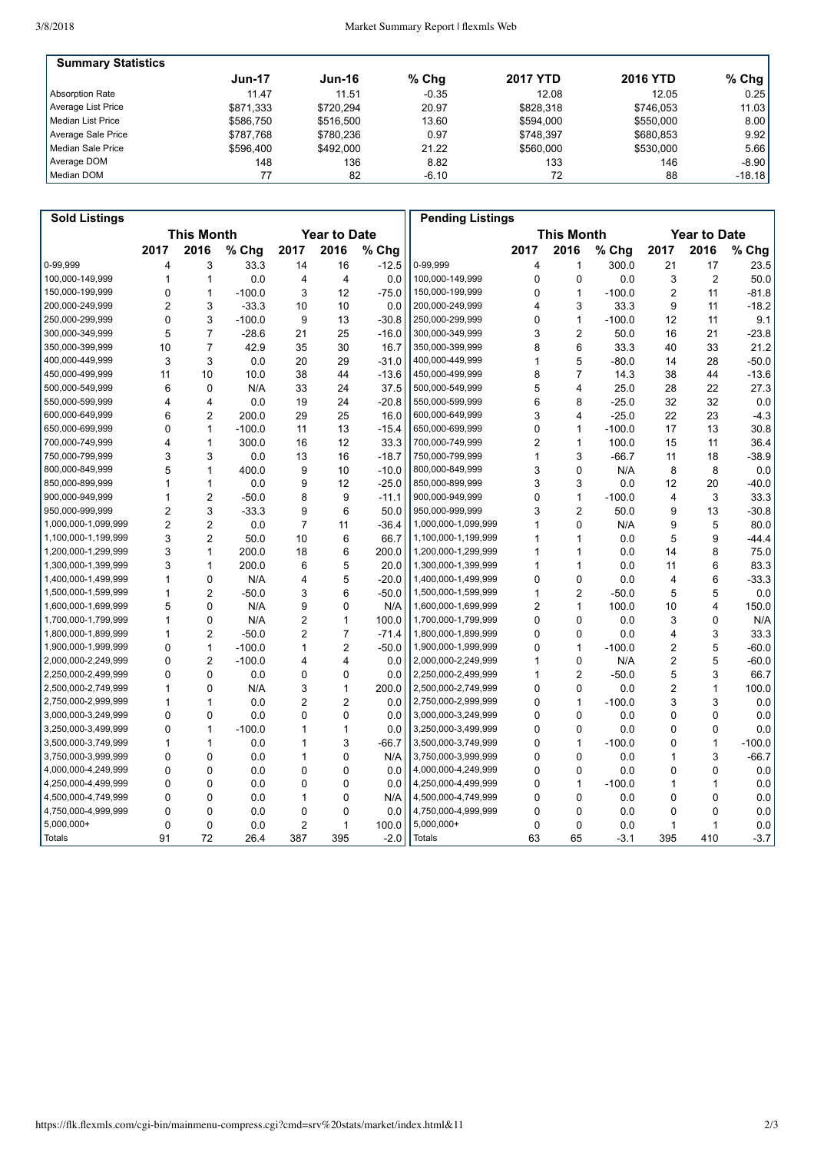| <b>Summary Statistics</b> |               |           |         |                 |                 |          |
|---------------------------|---------------|-----------|---------|-----------------|-----------------|----------|
|                           | <b>Jun-17</b> | Jun-16    | $%$ Chg | <b>2017 YTD</b> | <b>2016 YTD</b> | $%$ Chg  |
| Absorption Rate           | 11.47         | 11.51     | $-0.35$ | 12.08           | 12.05           | 0.25     |
| Average List Price        | \$871.333     | \$720.294 | 20.97   | \$828.318       | \$746.053       | 11.03    |
| Median List Price         | \$586.750     | \$516,500 | 13.60   | \$594.000       | \$550,000       | 8.00     |
| Average Sale Price        | \$787.768     | \$780.236 | 0.97    | \$748.397       | \$680.853       | 9.92     |
| Median Sale Price         | \$596.400     | \$492,000 | 21.22   | \$560,000       | \$530,000       | 5.66     |
| Average DOM               | 148           | 136       | 8.82    | 133             | 146             | $-8.90$  |
| Median DOM                |               | 82        | $-6.10$ | 72              | 88              | $-18.18$ |

| <b>Sold Listings</b> |                   |                |          |                     |                         |         | <b>Pending Listings</b> |                |                         |                     |                |                |          |
|----------------------|-------------------|----------------|----------|---------------------|-------------------------|---------|-------------------------|----------------|-------------------------|---------------------|----------------|----------------|----------|
|                      | <b>This Month</b> |                |          | <b>Year to Date</b> |                         |         |                         |                | <b>This Month</b>       | <b>Year to Date</b> |                |                |          |
|                      | 2017              | 2016           | % Chg    | 2017                | 2016                    | % Chg   |                         | 2017           | 2016                    | % Chg               | 2017           | 2016           | % Chg    |
| 0-99.999             | 4                 | 3              | 33.3     | 14                  | 16                      | $-12.5$ | 0-99,999                | 4              | 1                       | 300.0               | 21             | 17             | 23.5     |
| 100,000-149,999      | 1                 | 1              | 0.0      | 4                   | $\overline{4}$          | 0.0     | 100,000-149,999         | 0              | 0                       | 0.0                 | 3              | $\overline{2}$ | 50.0     |
| 150,000-199,999      | 0                 | 1              | $-100.0$ | 3                   | 12                      | $-75.0$ | 150,000-199,999         | 0              | $\mathbf{1}$            | $-100.0$            | $\overline{2}$ | 11             | $-81.8$  |
| 200,000-249,999      | $\overline{2}$    | 3              | $-33.3$  | 10                  | 10                      | 0.0     | 200,000-249,999         | 4              | 3                       | 33.3                | 9              | 11             | $-18.2$  |
| 250,000-299,999      | 0                 | 3              | $-100.0$ | 9                   | 13                      | $-30.8$ | 250,000-299,999         | 0              | 1                       | $-100.0$            | 12             | 11             | 9.1      |
| 300,000-349,999      | 5                 | $\overline{7}$ | $-28.6$  | 21                  | 25                      | $-16.0$ | 300,000-349,999         | 3              | $\overline{2}$          | 50.0                | 16             | 21             | $-23.8$  |
| 350,000-399,999      | 10                | $\overline{7}$ | 42.9     | 35                  | 30                      | 16.7    | 350,000-399,999         | 8              | 6                       | 33.3                | 40             | 33             | 21.2     |
| 400,000-449,999      | 3                 | 3              | 0.0      | 20                  | 29                      | $-31.0$ | 400,000-449,999         | 1              | 5                       | $-80.0$             | 14             | 28             | $-50.0$  |
| 450,000-499,999      | 11                | 10             | 10.0     | 38                  | 44                      | $-13.6$ | 450,000-499,999         | 8              | $\overline{7}$          | 14.3                | 38             | 44             | $-13.6$  |
| 500,000-549,999      | 6                 | $\mathbf 0$    | N/A      | 33                  | 24                      | 37.5    | 500,000-549,999         | 5              | 4                       | 25.0                | 28             | 22             | 27.3     |
| 550,000-599,999      | 4                 | $\overline{4}$ | 0.0      | 19                  | 24                      | $-20.8$ | 550,000-599,999         | 6              | 8                       | $-25.0$             | 32             | 32             | 0.0      |
| 600,000-649,999      | 6                 | $\overline{2}$ | 200.0    | 29                  | 25                      | 16.0    | 600,000-649,999         | 3              | $\overline{\mathbf{4}}$ | $-25.0$             | 22             | 23             | $-4.3$   |
| 650,000-699,999      | $\Omega$          | 1              | $-100.0$ | 11                  | 13                      | $-15.4$ | 650,000-699,999         | $\Omega$       | 1                       | $-100.0$            | 17             | 13             | 30.8     |
| 700.000-749.999      | 4                 | $\mathbf{1}$   | 300.0    | 16                  | 12                      | 33.3    | 700,000-749,999         | $\overline{2}$ | $\mathbf{1}$            | 100.0               | 15             | 11             | 36.4     |
| 750,000-799,999      | 3                 | 3              | 0.0      | 13                  | 16                      | $-18.7$ | 750,000-799,999         | 1              | 3                       | $-66.7$             | 11             | 18             | $-38.9$  |
| 800,000-849,999      | 5                 | $\mathbf{1}$   | 400.0    | 9                   | 10                      | $-10.0$ | 800,000-849,999         | 3              | $\Omega$                | N/A                 | 8              | 8              | 0.0      |
| 850,000-899,999      | $\mathbf{1}$      | 1              | 0.0      | 9                   | 12                      | $-25.0$ | 850,000-899,999         | 3              | 3                       | 0.0                 | 12             | 20             | $-40.0$  |
| 900,000-949,999      | $\mathbf{1}$      | $\overline{2}$ | $-50.0$  | 8                   | 9                       | $-11.1$ | 900,000-949,999         | 0              | 1                       | $-100.0$            | $\overline{4}$ | 3              | 33.3     |
| 950,000-999,999      | $\overline{c}$    | 3              | $-33.3$  | 9                   | 6                       | 50.0    | 950,000-999,999         | 3              | $\overline{c}$          | 50.0                | 9              | 13             | $-30.8$  |
| 1,000,000-1,099,999  | $\overline{2}$    | $\overline{2}$ | 0.0      | $\overline{7}$      | 11                      | $-36.4$ | 1,000,000-1,099,999     | 1              | 0                       | N/A                 | 9              | 5              | 80.0     |
| 1,100,000-1,199,999  | 3                 | $\overline{2}$ | 50.0     | 10                  | 6                       | 66.7    | 1,100,000-1,199,999     | 1              | 1                       | 0.0                 | 5              | 9              | $-44.4$  |
| 1,200,000-1,299,999  | 3                 | $\mathbf{1}$   | 200.0    | 18                  | 6                       | 200.0   | 1,200,000-1,299,999     | 1              | 1                       | 0.0                 | 14             | 8              | 75.0     |
| 1,300,000-1,399,999  | 3                 | 1              | 200.0    | 6                   | 5                       | 20.0    | 1,300,000-1,399,999     | 1              | 1                       | 0.0                 | 11             | 6              | 83.3     |
| 1,400,000-1,499,999  | $\mathbf{1}$      | $\mathbf 0$    | N/A      | 4                   | 5                       | $-20.0$ | 1,400,000-1,499,999     | 0              | 0                       | 0.0                 | 4              | 6              | $-33.3$  |
| 1,500,000-1,599,999  | $\mathbf{1}$      | $\overline{2}$ | $-50.0$  | 3                   | 6                       | $-50.0$ | 1,500,000-1,599,999     | 1              | $\overline{c}$          | $-50.0$             | 5              | 5              | 0.0      |
| 1,600,000-1,699,999  | 5                 | $\Omega$       | N/A      | 9                   | $\Omega$                | N/A     | 1,600,000-1,699,999     | $\overline{2}$ | 1                       | 100.0               | 10             | 4              | 150.0    |
| 1,700,000-1,799,999  | $\mathbf{1}$      | $\mathbf 0$    | N/A      | $\overline{2}$      | $\mathbf{1}$            | 100.0   | 1,700,000-1,799,999     | 0              | 0                       | 0.0                 | 3              | 0              | N/A      |
| 1,800,000-1,899,999  | $\mathbf{1}$      | $\overline{2}$ | $-50.0$  | $\overline{2}$      | $\overline{7}$          | $-71.4$ | 1,800,000-1,899,999     | $\Omega$       | $\mathbf{0}$            | 0.0                 | $\overline{4}$ | 3              | 33.3     |
| 1,900,000-1,999,999  | $\Omega$          | $\mathbf{1}$   | $-100.0$ | 1                   | $\overline{2}$          | $-50.0$ | 1,900,000-1,999,999     | 0              | 1                       | $-100.0$            | $\overline{2}$ | 5              | $-60.0$  |
| 2,000,000-2,249,999  | $\mathbf{0}$      | $\overline{2}$ | $-100.0$ | 4                   | $\overline{\mathbf{4}}$ | 0.0     | 2,000,000-2,249,999     | 1              | 0                       | N/A                 | $\overline{2}$ | 5              | $-60.0$  |
| 2,250,000-2,499,999  | $\Omega$          | $\Omega$       | 0.0      | 0                   | $\Omega$                | 0.0     | 2,250,000-2,499,999     | 1              | $\overline{2}$          | $-50.0$             | 5              | 3              | 66.7     |
| 2,500,000-2,749,999  | $\mathbf{1}$      | $\Omega$       | N/A      | 3                   | $\mathbf{1}$            | 200.0   | 2,500,000-2,749,999     | 0              | $\Omega$                | 0.0                 | $\overline{2}$ | $\mathbf{1}$   | 100.0    |
| 2,750,000-2,999,999  | 1                 | 1              | 0.0      | $\overline{2}$      | $\overline{2}$          | 0.0     | 2,750,000-2,999,999     | 0              | 1                       | $-100.0$            | 3              | 3              | 0.0      |
| 3,000,000-3,249,999  | $\Omega$          | $\Omega$       | 0.0      | $\mathbf{0}$        | $\Omega$                | 0.0     | 3,000,000-3,249,999     | $\Omega$       | $\mathbf{0}$            | 0.0                 | 0              | 0              | 0.0      |
| 3,250,000-3,499,999  | 0                 | 1              | $-100.0$ | 1                   | $\mathbf{1}$            | 0.0     | 3,250,000-3,499,999     | 0              | 0                       | 0.0                 | 0              | 0              | 0.0      |
| 3,500,000-3,749,999  | $\mathbf{1}$      | 1              | 0.0      | 1                   | 3                       | $-66.7$ | 3,500,000-3,749,999     | 0              | 1                       | $-100.0$            | 0              | $\mathbf{1}$   | $-100.0$ |
| 3,750,000-3,999,999  | $\Omega$          | $\Omega$       | 0.0      | 1                   | $\Omega$                | N/A     | 3,750,000-3,999,999     | $\Omega$       | $\Omega$                | 0.0                 | 1              | 3              | $-66.7$  |
| 4,000,000-4,249,999  | 0                 | $\Omega$       | 0.0      | 0                   | $\Omega$                | 0.0     | 4,000,000-4,249,999     | 0              | $\Omega$                | 0.0                 | 0              | $\mathbf 0$    | 0.0      |
| 4,250,000-4,499,999  | 0                 | $\mathbf 0$    | 0.0      | 0                   | $\mathbf 0$             | 0.0     | 4,250,000-4,499,999     | 0              | 1                       | $-100.0$            | 1              | $\mathbf{1}$   | 0.0      |
| 4,500,000-4,749,999  | 0                 | $\mathbf 0$    | 0.0      | 1                   | $\mathbf 0$             | N/A     | 4,500,000-4,749,999     | $\Omega$       | 0                       | 0.0                 | 0              | 0              | 0.0      |
| 4,750,000-4,999,999  | 0                 | $\Omega$       | 0.0      | 0                   | $\Omega$                | 0.0     | 4,750,000-4,999,999     | 0              | 0                       | 0.0                 | $\Omega$       | 0              | 0.0      |
| 5,000,000+           | 0                 | $\mathbf 0$    | 0.0      | $\overline{c}$      | $\mathbf{1}$            | 100.0   | $5,000,000+$            | 0              | 0                       | 0.0                 | $\mathbf{1}$   | $\mathbf{1}$   | 0.0      |
| Totals               | 91                | 72             | 26.4     | 387                 | 395                     | $-2.0$  | Totals                  | 63             | 65                      | $-3.1$              | 395            | 410            | $-3.7$   |